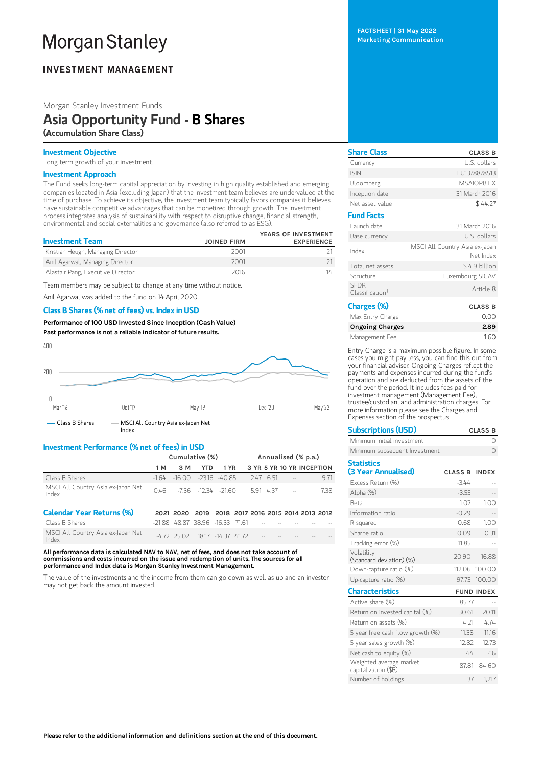# **Morgan Stanley**

## **INVESTMENT MANAGEMENT**

Morgan Stanley Investment Funds

# Asia Opportunity Fund - B Shares (Accumulation Share Class)

## Investment Objective

Long term growth of your investment.

## Investment Approach

The Fund seeks long-term capital appreciation by investing in high quality established and emerging companies located in Asia (excluding Japan) that the investment team believes are undervalued at the time of purchase. To achieve its objective, the investment team typically favors companies it believes have sustainable competitive advantages that can be monetized through growth. The investment process integrates analysis of sustainability with respect to disruptive change, financial strength, environmental and social externalities and governance (also referred to as ESG).

| <b>Investment Team</b>            | <b>JOINED FIRM</b> | YEARS OF INVESTMENT<br><b>EXPERIENCE</b> |
|-----------------------------------|--------------------|------------------------------------------|
|                                   |                    |                                          |
| Kristian Heugh, Managing Director | 2001               |                                          |
| Anil Agarwal, Managing Director   | 2001               |                                          |
| Alastair Pang, Executive Director | 2016               | 14                                       |

Team members may be subject to change at any time without notice.

Anil Agarwal was added to the fund on 14 April 2020.

#### Class B Shares (% net of fees) vs. Index in USD

Performance of100 USD Invested Since Inception (Cash Value) Past performance is not a reliable indicator of future results.



## Investment Performance (% net of fees) in USD

|                                             | Cumulative (%) |              |                                                   |                  | Annualised (% p.a.) |                           |      |
|---------------------------------------------|----------------|--------------|---------------------------------------------------|------------------|---------------------|---------------------------|------|
|                                             | 1 M            | 3 M          | <b>YTD</b>                                        | 1 YR             |                     | 3 YR 5 YR 10 YR INCEPTION |      |
| Class B Shares                              | $-164$         | $-16.00$     |                                                   | $-23.16 - 40.85$ | 247 6.51            | $\sim$                    | 9.71 |
| MSCI All Country Asia ex-Japan Net<br>Index | 046            |              | $-736 - 1234 - 2160$                              |                  | 5.91 4.37           | $\sim 100$                | 738  |
| <b>Calendar Year Returns (%)</b>            |                |              | 2021 2020 2019 2018 2017 2016 2015 2014 2013 2012 |                  |                     |                           |      |
| Class B Shares                              |                |              | $-21.88$ 48.87 38.96 -16.33 71.61                 |                  |                     |                           |      |
| MSCI All Country Asia ex-Japan Net<br>Index |                | $-472$ 25.02 | 1817                                              | $-1437$ 4172     |                     |                           |      |

All performance data is calculated NAV to NAV, net of fees, and does not take account of commissions and costs incurred on the issue and redemption of units. The sources for all performance and Index data is Morgan Stanley Investment Management.

The value of the investments and the income from them can go down as well as up and an investor may not get back the amount invested.

FACTSHEET | 31 May 2022 Marketing Communication

| <b>Share Class</b>                         | <b>CLASS B</b>                              |
|--------------------------------------------|---------------------------------------------|
| Currency                                   | U.S. dollars                                |
| <b>ISIN</b>                                | LU1378878513                                |
| Bloomberg                                  | <b>MSAIOPRIX</b>                            |
| Inception date                             | 31 March 2016                               |
| Net asset value                            | \$44.27                                     |
| <b>Fund Facts</b>                          |                                             |
| Launch date                                | 31 March 2016                               |
| Base currency                              | U.S. dollars                                |
| Index                                      | MSCI All Country Asia ex-Japan<br>Net Index |
| Total net assets                           | \$4.9 billion                               |
| Structure                                  | Luxembourg SICAV                            |
| <b>SFDR</b><br>Classification <sup>†</sup> | Article 8                                   |
| Charges (%)                                | <b>CLASS B</b>                              |
| Max Entry Charge                           | 0.00                                        |
| <b>Ongoing Charges</b>                     | 2.89                                        |

Entry Charge is a maximum possible figure. In some cases you might pay less, you can find this out from your financial adviser. Ongoing Charges reflect the payments and expenses incurred during the fund's operation and are deducted from the assets of the fund over the period. It includes fees paid for investment management (Management Fee), trustee/custodian, and administration charges. For more information please see the Charges and Expenses section of the prospectus.

Management Fee 1.60

| <b>Subscriptions (USD)</b>    | <b>CLASS B</b> |
|-------------------------------|----------------|
| Minimum initial investment    |                |
| Minimum subsequent Investment |                |

| <b>Statistics</b>                               |         |                   |
|-------------------------------------------------|---------|-------------------|
| (3 Year Annualised)                             | CLASS B | <b>INDEX</b>      |
| Excess Return (%)                               | $-3.44$ |                   |
| Alpha (%)                                       | $-3.55$ |                   |
| <b>Beta</b>                                     | 1.02    | 1.00              |
| Information ratio                               | $-0.29$ |                   |
| R squared                                       | 0.68    | 1.00              |
| Sharpe ratio                                    | 0.09    | 0.31              |
| Tracking error (%)                              | 11.85   |                   |
| Volatility<br>(Standard deviation) (%)          | 20.90   | 16.88             |
| Down-capture ratio (%)                          |         | 112.06 100.00     |
| Up-capture ratio (%)                            |         | 97.75 100.00      |
| <b>Characteristics</b>                          |         | <b>FUND INDEX</b> |
| Active share (%)                                | 85.77   |                   |
| Return on invested capital (%)                  | 30.61   | 20.11             |
| Return on assets (%)                            | 4.21    | 474               |
| 5 year free cash flow growth (%)                | 11.38   | 11.16             |
| 5 year sales growth (%)                         | 12.82   | 12.73             |
| Net cash to equity (%)                          | 44      | $-16$             |
| Weighted average market<br>capitalization (\$B) | 87.81   | 8460              |
| Number of holdings                              | 37      | 1.217             |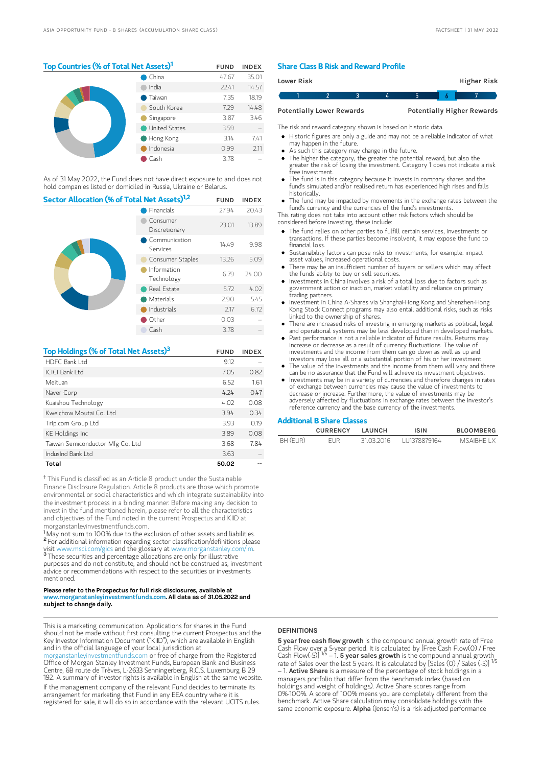## Top Countries (% of Total Net Assets)<sup>1</sup> FUND INDEX

|  | China                | 47.67 | 35.01 |
|--|----------------------|-------|-------|
|  | India                | 22.41 | 14.57 |
|  | Taiwan               | 7.35  | 18.19 |
|  | South Korea          | 7.29  | 14.48 |
|  | Singapore            | 3.87  | 3.46  |
|  | <b>United States</b> | 3.59  |       |
|  | Hong Kong            | 3.14  | 7.41  |
|  | Indonesia            | 0.99  | 2.11  |
|  | Cash                 | 3.78  |       |

As of 31 May 2022, the Fund does not have direct exposure to and does not hold companies listed or domiciled in Russia, Ukraine or Belarus.

| Sector Allocation (% of Total Net Assets) <sup>1,2</sup> | <b>FUND</b>               | <b>INDEX</b> |       |
|----------------------------------------------------------|---------------------------|--------------|-------|
|                                                          | Financials                |              | 20.43 |
|                                                          | Consumer<br>Discretionary | 23.01        | 13.89 |
|                                                          | Communication<br>Services | 14.49        | 9.98  |
| Consumer Staples                                         |                           | 13.26        | 5.09  |
|                                                          | Information<br>Technology | 6.79         | 24.00 |
|                                                          | Real Estate               | 5.72         | 4.02  |
|                                                          | Materials                 | 2.90         | 5.45  |
|                                                          | Industrials               | 2.17         | 6.72  |
|                                                          | Other                     | 0.03         |       |
|                                                          | Cash                      | 3.78         |       |

| Top Holdings (% of Total Net Assets) <sup>3</sup> | <b>FUND</b> | <b>INDEX</b> |
|---------------------------------------------------|-------------|--------------|
| HDFC Bank I td                                    | 9.12        |              |
| ICICI Bank I td                                   | 7.05        | 0.82         |
| Meituan                                           | 6.52        | 1.61         |
| Naver Corp                                        | 4.74        | 0.47         |
| Kuaishou Technology                               | 4.02        | 0.08         |
| Kweichow Moutai Co. Ltd.                          | 3.94        | 0.34         |
| Trip.com Group Ltd                                | 3.93        | 0.19         |
| <b>KE</b> Holdings Inc                            | 3.89        | 0.08         |
| Taiwan Semiconductor Mfg Co. Ltd                  | 3.68        | 7.84         |
| IndusInd Bank Ltd                                 | 3.63        |              |
| Total                                             | 50.02       |              |

<sup>†</sup> This Fund is classified as an Article 8 product under the Sustainable Finance Disclosure Regulation. Article 8 products are those which promote environmental or social characteristics and which integrate sustainability into the investment process in a binding manner. Before making any decision to invest in the fund mentioned herein, please refer to all the characteristics and objectives of the Fund noted in the current Prospectus and KIID at morganstanleyinvestmentfunds.com.

<sup>1</sup>May not sum to 100% due to the exclusion of other assets and liabilities. <sup>2</sup> For additional information regarding sector classification/definitions please visit www.msci.com/gics and the glossary at www.morganstanley.com/im. <sup>3</sup> These securities and percentage allocations are only for illustrative purposes and do not constitute, and should not be construed as, investment advice or recommendations with respect to the securities or investments mentioned.

#### Please refer to the Prospectus for full risk disclosures, available at v.morganstanleyinvestmentfunds.com. All data as of 31.05.2022 and subject to change daily.

This is a marketing communication. Applications for shares in the Fund should not be made without first consulting the current Prospectus and the Key Investor Information Document ("KIID"), which are available in English and in the official language of your local jurisdiction at [morganstanleyinvestmentfunds.com](https://www.morganstanley.com/im/msinvf/index.html) or free of charge from the Registered Office of Morgan Stanley Investment Funds, European Bank and Business Centre, 6B route de Trèves, L-2633 Senningerberg, R.C.S. Luxemburg B 29 192. A summary of investor rights is available in English at the same website. If the management company of the relevant Fund decides to terminate its arrangement for marketing that Fund in any EEA country where it is registered for sale, it will do so in accordance with the relevant UCITS rules.

#### Share Class B Risk and Reward Profile

| Lower Risk |                                  |  |  | Higher Risk                       |  |
|------------|----------------------------------|--|--|-----------------------------------|--|
|            |                                  |  |  |                                   |  |
|            | <b>Potentially Lower Rewards</b> |  |  | <b>Potentially Higher Rewards</b> |  |

The risk and reward category shown is based on historic data.

- Historic figures are only a guide and may not be a reliable indicator of what may happen in the future.
- As such this category may change in the future.
- The higher the category, the greater the potential reward, but also the greater the risk of losing the investment. Category 1 does not indicate a risk free investment.
- The fund is in this category because it invests in company shares and the fund's simulated and/or realised return has experienced high rises and falls historically.
- The fund may be impacted by movements in the exchange rates between the fund's currency and the currencies of the fund's investments.

This rating does not take into account other risk factors which should be considered before investing, these include:

- The fund relies on other parties to fulfill certain services, investments or transactions. If these parties become insolvent, it may expose the fund to financial loss.
- Sustainability factors can pose risks to investments, for example: impact asset values, increased operational costs.
- There may be an insufficient number of buyers or sellers which may affect the funds ability to buy or sell securities.
- Investments in China involves a risk of a total loss due to factors such as government action or inaction, market volatility and reliance on primary trading partners.
- Investment in China A-Shares via Shanghai-Hong Kong and Shenzhen-Hong Kong Stock Connect programs may also entail additional risks, such as risks linked to the ownership of shares.
- There are increased risks of investing in emerging markets as political, legal and operational systems may be less developed than in developed markets.
- Past performance is not a reliable indicator of future results. Returns may increase or decrease as a result of currency fluctuations. The value of investments and the income from them can go down as well as up and
- investors may lose all or a substantial portion of his or her investment. The value of the investments and the income from them will vary and there
- can be no assurance that the Fund will achieve its investment objectives. Investments may be in a variety of currencies and therefore changes in rates of exchange between currencies may cause the value of investments to decrease or increase. Furthermore, the value of investments may be adversely affected by fluctuations in exchange rates between the investor's reference currency and the base currency of the investments.

#### Additional B Share Classes

|          | <b>CURRENCY</b> | LAUNCH     | ISIN         | <b>BLOOMBERG</b> |
|----------|-----------------|------------|--------------|------------------|
| BH (EUR) | FUR             | 31 03 2016 | 111378879164 | MSAIRHE I X      |

### **DEFINITIONS**

5 year free cash flow growth is the compound annual growth rate of Free Cash Flow over a 5-year period. It is calculated by [Free Cash Flow(0) / Free<br>Cash Flow(-5)] <sup>1/5</sup> – 1. **5 year saIes growth** is the compound annual growth\_ rate of Sales over the last 5 years. It is calculated by [Sales (0) / Sales (-5)]<br>– 1. **Active Share** is a measure of the percentage of stock holdings in a managers portfolio that differ from the benchmark index (based on holdings and weight of holdings). Active Share scores range from 0%-100%. A score of 100% means you are completely different from the benchmark. Active Share calculation may consolidate holdings with the same economic exposure. Alpha (Jensen's) is a risk-adjusted performance 1/5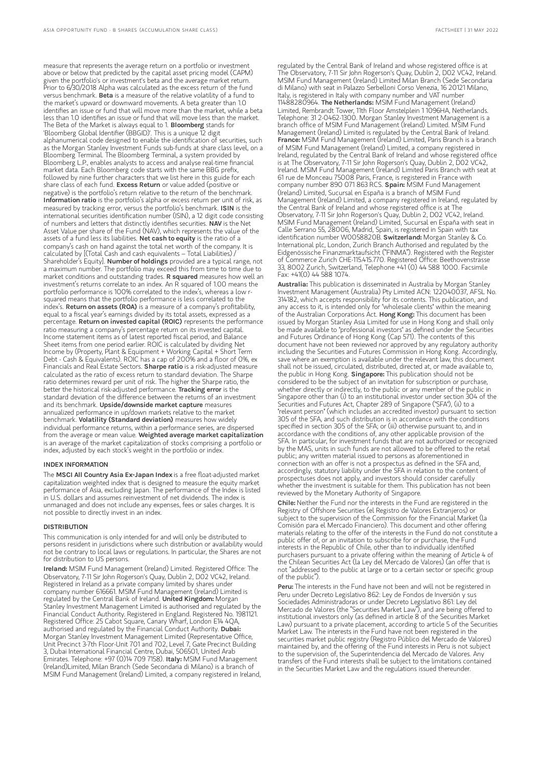measure that represents the average return on a portfolio or investment above or below that predicted by the capital asset pricing model (CAPM) given the portfolio's or investment's beta and the average market return. Prior to 6/30/2018 Alpha was calculated as the excess return of the fund versus benchmark. Beta is a measure of the relative volatility of a fund to the market's upward or downward movements. A beta greater than 1.0 identifies an issue or fund that will move more than the market, while a beta less than 1.0 identifies an issue or fund that will move less than the market. The Beta of the Market is always equal to 1. **Bloomberg** stands for 'Bloomberg Global Identifier (BBGID)'. This is a unique 12 digit alphanumerical code designed to enable the identification of securities, such as the Morgan Stanley Investment Funds sub-funds at share class level, on a Bloomberg Terminal. The Bloomberg Terminal, a system provided by Bloomberg L.P., enables analysts to access and analyse real-time financial market data. Each Bloomberg code starts with the same BBG prefix, followed by nine further characters that we list here in this guide for each share class of each fund. Excess Return or value added (positive or negative) is the portfolio's return relative to the return of the benchmark. Information ratio is the portfolio's alpha or excess return per unit of risk, as measured by tracking error, versus the portfolio's benchmark. ISIN is the international securities identification number (ISIN), a 12 digit code consisting of numbers and letters that distinctly identifies securities. NAV is the Net Asset Value per share of the Fund (NAV), which represents the value of the assets of a fund less its liabilities. Net cash to equity is the ratio of a company's cash on hand against the total net worth of the company. It is calculated by [(Total Cash and cash equivalents – Total Liabilities) / Shareholder's Equity]. Number of holdings provided are a typical range, not a maximum number. The portfolio may exceed this from time to time due to market conditions and outstanding trades. **R squared** measures how well an investment's returns correlate to an index. An R squared of 1.00 means the portfolio performance is 100% correlated to the index's, whereas a low rsquared means that the portfolio performance is less correlated to the index's. Return on assets (ROA) is a measure of a company's profitability, equal to a fiscal year's earnings divided by its total assets, expressed as a percentage. Return on invested capital (ROIC) represents the performance ratio measuring a company's percentage return on its invested capital. Income statement items as of latest reported fiscal period, and Balance Sheet items from one period earlier. ROIC is calculated by dividing Net Income by (Property, Plant & Equipment + Working Capital + Short Term Debt - Cash & Equivalents). ROIC has a cap of 200% and a floor of 0%, ex Financials and Real Estate Sectors. Sharpe ratio is a risk-adjusted measure calculated as the ratio of excess return to standard deviation. The Sharpe ratio determines reward per unit of risk. The higher the Sharpe ratio, the better the historical risk-adjusted performance. Tracking error is the standard deviation of the difference between the returns of an investment and its benchmark. Upside/downside market capture measures annualized performance in up/down markets relative to the market benchmark. Volatility (Standard deviation) measures how widely individual performance returns, within a performance series, are dispersed from the average or mean value. Weighted average market capitalization is an average of the market capitalization of stocks comprising a portfolio or index, adjusted by each stock's weight in the portfolio or index.

#### INDEX INFORMATION

The MSCI All Country Asia Ex-Japan Index is a free float-adjusted market capitalization weighted index that is designed to measure the equity market performance of Asia, excluding Japan. The performance of the Index is listed in U.S. dollars and assumes reinvestment of net dividends. The index is unmanaged and does not include any expenses, fees or sales charges. It is not possible to directly invest in an index.

#### **DISTRIBUTION**

This communication is only intended for and will only be distributed to persons resident in jurisdictions where such distribution or availability would not be contrary to local laws or regulations. In particular, the Shares are not for distribution to US persons.

Ireland: MSIM Fund Management (Ireland) Limited. Registered Office: The Observatory, 7-11 Sir John Rogerson's Quay, Dublin 2, D02 VC42, Ireland. Registered in Ireland as a private company limited by shares under company number 616661. MSIM Fund Management (Ireland) Limited is regulated by the Central Bank of Ireland. United Kingdom: Morgan Stanley Investment Management Limited is authorised and regulated by the Financial Conduct Authority. Registered in England. Registered No. 1981121. Registered Office: 25 Cabot Square, Canary Wharf, London E14 4QA, authorised and regulated by the Financial Conduct Authority. **Dubai:** Morgan Stanley Investment Management Limited (Representative Office, Unit Precinct 3-7th Floor-Unit 701 and 702, Level 7, Gate Precinct Building 3, Dubai International Financial Centre, Dubai, 506501, United Arab Emirates. Telephone: +97 (0)14 709 7158). Italy: MSIM Fund Management (Ireland)Limited, Milan Branch (Sede Secondaria di Milano) is a branch of MSIM Fund Management (Ireland) Limited, a company registered in Ireland,

regulated by the Central Bank of Ireland and whose registered office is at The Observatory, 7-11 Sir John Rogerson's Quay, Dublin 2, D02 VC42, Ireland. MSIM Fund Management (Ireland) Limited Milan Branch (Sede Secondaria di Milano) with seat in Palazzo Serbelloni Corso Venezia, 16 20121 Milano, Italy, is registered in Italy with company number and VAT number 11488280964. The Netherlands: MSIM Fund Management (Ireland) Limited, Rembrandt Tower, 11th Floor Amstelplein 1 1096HA, Netherlands. Telephone: 31 2-0462-1300. Morgan Stanley Investment Management is a branch office of MSIM Fund Management (Ireland) Limited. MSIM Fund Management (Ireland) Limited is regulated by the Central Bank of Ireland. France: MSIM Fund Management (Ireland) Limited, Paris Branch is a branch of MSIM Fund Management (Ireland) Limited, a company registered in Ireland, regulated by the Central Bank of Ireland and whose registered office is at The Observatory, 7-11 Sir John Rogerson's Quay, Dublin 2, DO2 VC42 Ireland. MSIM Fund Management (Ireland) Limited Paris Branch with seat at 61 rue de Monceau 75008 Paris, France, is registered in France with company number 890 071 863 RCS. Spain: MSIM Fund Management (Ireland) Limited, Sucursal en España is a branch of MSIM Fund Management (Ireland) Limited, a company registered in Ireland, regulated by the Central Bank of Ireland and whose registered office is at The Observatory, 7-11 Sir John Rogerson's Quay, Dublin 2, D02 VC42, Ireland. MSIM Fund Management (Ireland) Limited, Sucursal en España with seat in Calle Serrano 55, 28006, Madrid, Spain, is registered in Spain with tax identification number W0058820B. Switzerland: Morgan Stanley & Co. International plc, London, Zurich Branch Authorised and regulated by the Eidgenössische Finanzmarktaufsicht ("FINMA"). Registered with the Register of Commerce Zurich CHE-115.415.770. Registered Office: Beethovenstrasse 33, 8002 Zurich, Switzerland, Telephone +41 (0) 44 588 1000. Facsimile Fax: +41(0) 44 588 1074.

Australia: This publication is disseminated in Australia by Morgan Stanley Investment Management (Australia) Pty Limited ACN: 122040037, AFSL No. 314182, which accepts responsibility for its contents. This publication, and any access to it, is intended only for "wholesale clients" within the meaning<br>of the Australian Corporations Act. **Hong Kong:** This document has been issued by Morgan Stanley Asia Limited for use in Hong Kong and shall only be made available to "professional investors" as defined under the Securities and Futures Ordinance of Hong Kong (Cap 571). The contents of this document have not been reviewed nor approved by any regulatory authority including the Securities and Futures Commission in Hong Kong. Accordingly, save where an exemption is available under the relevant law, this document shall not be issued, circulated, distributed, directed at, or made available to, the public in Hong Kong. Singapore: This publication should not be considered to be the subject of an invitation for subscription or purchase, whether directly or indirectly, to the public or any member of the public in Singapore other than (i) to an institutional investor under section 304 of the Securities and Futures Act, Chapter 289 of Singapore ("SFA"), (ii) to a "relevant person" (which includes an accredited investor) pursuant to section 305 of the SFA, and such distribution is in accordance with the conditions specified in section 305 of the SFA; or (iii) otherwise pursuant to, and in accordance with the conditions of, any other applicable provision of the SFA. In particular, for investment funds that are not authorized or recognized by the MAS, units in such funds are not allowed to be offered to the retail public; any written material issued to persons as aforementioned in connection with an offer is not a prospectus as defined in the SFA and, accordingly, statutory liability under the SFA in relation to the content of prospectuses does not apply, and investors should consider carefully whether the investment is suitable for them. This publication has not been reviewed by the Monetary Authority of Singapore.

Chile: Neither the Fund nor the interests in the Fund are registered in the Registry of Offshore Securities (el Registro de Valores Extranjeros) or subject to the supervision of the Commission for the Financial Market (la Comisión para el Mercado Financiero). This document and other offering materials relating to the offer of the interests in the Fund do not constitute a public offer of, or an invitation to subscribe for or purchase, the Fund interests in the Republic of Chile, other than to individually identified purchasers pursuant to a private offering within the meaning of Article 4 of the Chilean Securities Act (la Ley del Mercado de Valores) (an offer that is not "addressed to the public at large or to a certain sector or specific group of the public").

Peru: The interests in the Fund have not been and will not be registered in Peru under Decreto Legislativo 862: Ley de Fondos de Inversión y sus Sociedades Administradoras or under Decreto Legislativo 861: Ley del Mercado de Valores (the "Securities Market Law"), and are being offered to institutional investors only (as defined in article 8 of the Securities Market Law) pursuant to a private placement, according to article 5 of the Securities Market Law. The interests in the Fund have not been registered in the securities market public registry (Registro Público del Mercado de Valores) maintained by, and the offering of the Fund interests in Peru is not subject to the supervision of, the Superintendencia del Mercado de Valores. Any transfers of the Fund interests shall be subject to the limitations contained in the Securities Market Law and the regulations issued thereunder.